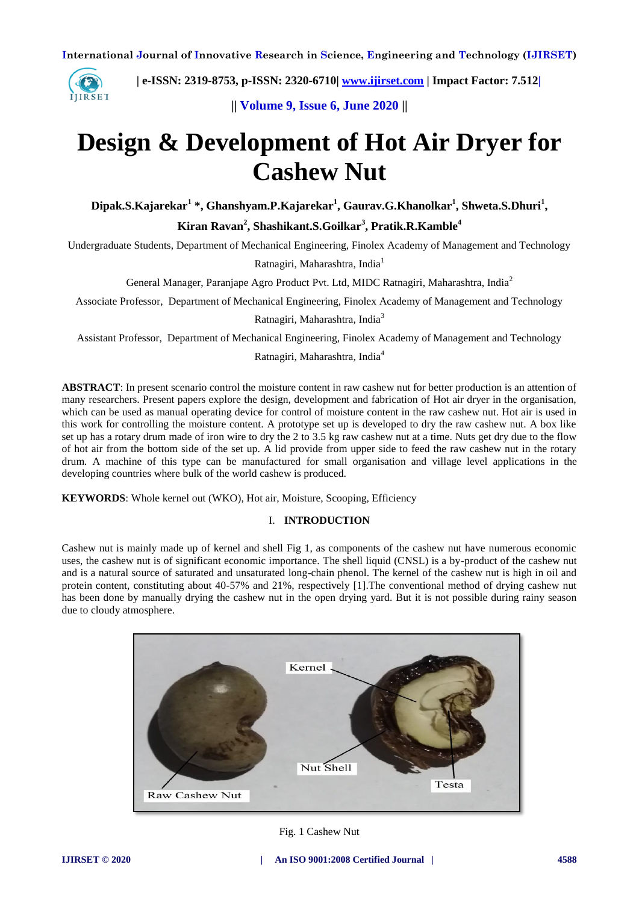

 **| e-ISSN: 2319-8753, p-ISSN: 2320-6710| [www.ijirset.com](http://www.ijirset.com/) | Impact Factor: 7.512|**

**|| Volume 9, Issue 6, June 2020 ||** 

# **Design & Development of Hot Air Dryer for Cashew Nut**

**Dipak.S.Kajarekar<sup>1</sup> \*, Ghanshyam.P.Kajarekar<sup>1</sup> , Gaurav.G.Khanolkar<sup>1</sup> , Shweta.S.Dhuri<sup>1</sup> , Kiran Ravan<sup>2</sup> , Shashikant.S.Goilkar<sup>3</sup> , Pratik.R.Kamble<sup>4</sup>**

Undergraduate Students, Department of Mechanical Engineering, Finolex Academy of Management and Technology

Ratnagiri, Maharashtra, India<sup>1</sup>

General Manager, Paranjape Agro Product Pvt. Ltd, MIDC Ratnagiri, Maharashtra, India<sup>2</sup>

Associate Professor, Department of Mechanical Engineering, Finolex Academy of Management and Technology

Ratnagiri, Maharashtra, India<sup>3</sup>

Assistant Professor, Department of Mechanical Engineering, Finolex Academy of Management and Technology

Ratnagiri, Maharashtra, India<sup>4</sup>

**ABSTRACT**: In present scenario control the moisture content in raw cashew nut for better production is an attention of many researchers. Present papers explore the design, development and fabrication of Hot air dryer in the organisation, which can be used as manual operating device for control of moisture content in the raw cashew nut. Hot air is used in this work for controlling the moisture content. A prototype set up is developed to dry the raw cashew nut. A box like set up has a rotary drum made of iron wire to dry the 2 to 3.5 kg raw cashew nut at a time. Nuts get dry due to the flow of hot air from the bottom side of the set up. A lid provide from upper side to feed the raw cashew nut in the rotary drum. A machine of this type can be manufactured for small organisation and village level applications in the developing countries where bulk of the world cashew is produced.

**KEYWORDS**: Whole kernel out (WKO), Hot air, Moisture, Scooping, Efficiency

# I. **INTRODUCTION**

Cashew nut is mainly made up of kernel and shell Fig 1, as components of the cashew nut have numerous economic uses, the cashew nut is of significant economic importance. The shell liquid (CNSL) is a by-product of the cashew nut and is a natural source of saturated and unsaturated long-chain phenol. The kernel of the cashew nut is high in oil and protein content, constituting about 40-57% and 21%, respectively [1].The conventional method of drying cashew nut has been done by manually drying the cashew nut in the open drying yard. But it is not possible during rainy season due to cloudy atmosphere.

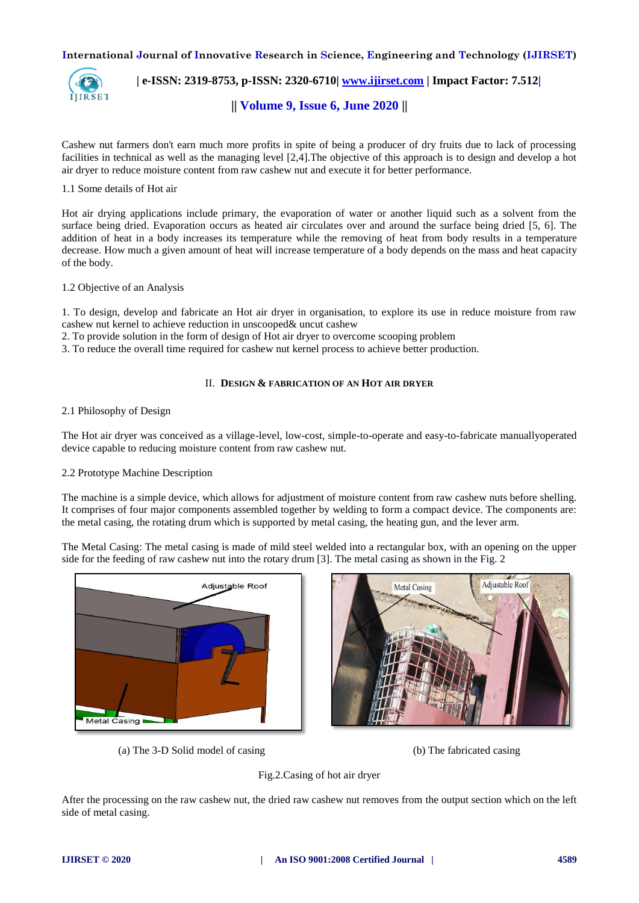

 **| e-ISSN: 2319-8753, p-ISSN: 2320-6710| [www.ijirset.com](http://www.ijirset.com/) | Impact Factor: 7.512|**

**|| Volume 9, Issue 6, June 2020 ||** 

Cashew nut farmers don't earn much more profits in spite of being a producer of dry fruits due to lack of processing facilities in technical as well as the managing level [2,4].The objective of this approach is to design and develop a hot air dryer to reduce moisture content from raw cashew nut and execute it for better performance.

# 1.1 Some details of Hot air

Hot air drying applications include primary, the evaporation of water or another liquid such as a solvent from the surface being dried. Evaporation occurs as heated air circulates over and around the surface being dried [5, 6]. The addition of heat in a body increases its temperature while the removing of heat from body results in a temperature decrease. How much a given amount of heat will increase temperature of a body depends on the mass and heat capacity of the body.

# 1.2 Objective of an Analysis

1. To design, develop and fabricate an Hot air dryer in organisation, to explore its use in reduce moisture from raw cashew nut kernel to achieve reduction in unscooped& uncut cashew

2. To provide solution in the form of design of Hot air dryer to overcome scooping problem

3. To reduce the overall time required for cashew nut kernel process to achieve better production.

# II. **DESIGN & FABRICATION OF AN HOT AIR DRYER**

# 2.1 Philosophy of Design

The Hot air dryer was conceived as a village-level, low-cost, simple-to-operate and easy-to-fabricate manuallyoperated device capable to reducing moisture content from raw cashew nut.

# 2.2 Prototype Machine Description

The machine is a simple device, which allows for adjustment of moisture content from raw cashew nuts before shelling. It comprises of four major components assembled together by welding to form a compact device. The components are: the metal casing, the rotating drum which is supported by metal casing, the heating gun, and the lever arm.

The Metal Casing: The metal casing is made of mild steel welded into a rectangular box, with an opening on the upper side for the feeding of raw cashew nut into the rotary drum [3]. The metal casing as shown in the Fig. 2



(a) The 3-D Solid model of casing (b) The fabricated casing



#### Fig.2.Casing of hot air dryer

After the processing on the raw cashew nut, the dried raw cashew nut removes from the output section which on the left side of metal casing.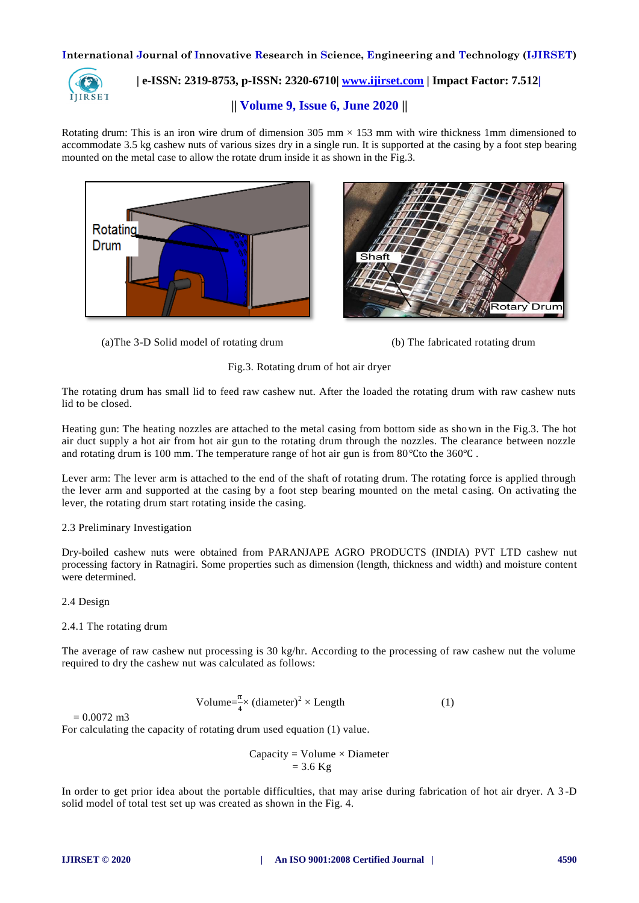

# **| e-ISSN: 2319-8753, p-ISSN: 2320-6710| [www.ijirset.com](http://www.ijirset.com/) | Impact Factor: 7.512|**

# **|| Volume 9, Issue 6, June 2020 ||**

Rotating drum: This is an iron wire drum of dimension  $305 \text{ mm} \times 153 \text{ mm}$  with wire thickness 1mm dimensioned to accommodate 3.5 kg cashew nuts of various sizes dry in a single run. It is supported at the casing by a foot step bearing mounted on the metal case to allow the rotate drum inside it as shown in the Fig.3.





(a)The 3-D Solid model of rotating drum (b) The fabricated rotating drum



Fig.3. Rotating drum of hot air dryer

The rotating drum has small lid to feed raw cashew nut. After the loaded the rotating drum with raw cashew nuts lid to be closed.

Heating gun: The heating nozzles are attached to the metal casing from bottom side as shown in the Fig.3. The hot air duct supply a hot air from hot air gun to the rotating drum through the nozzles. The clearance between nozzle and rotating drum is 100 mm. The temperature range of hot air gun is from  $80^{\circ}$ Cto the 360 $^{\circ}$ C.

Lever arm: The lever arm is attached to the end of the shaft of rotating drum. The rotating force is applied through the lever arm and supported at the casing by a foot step bearing mounted on the metal c asing. On activating the lever, the rotating drum start rotating inside the casing.

# 2.3 Preliminary Investigation

Dry-boiled cashew nuts were obtained from PARANJAPE AGRO PRODUCTS (INDIA) PVT LTD cashew nut processing factory in Ratnagiri. Some properties such as dimension (length, thickness and width) and moisture content were determined.

# 2.4 Design

# 2.4.1 The rotating drum

The average of raw cashew nut processing is 30 kg/hr. According to the processing of raw cashew nut the volume required to dry the cashew nut was calculated as follows:

Volume=
$$
\frac{\pi}{4}
$$
 (diameter)<sup>2</sup> × Length (1)

 $= 0.0072$  m<sup>3</sup>

For calculating the capacity of rotating drum used equation (1) value.

 $Capacity = Volume \times Diameter$  $= 3.6$  Kg

In order to get prior idea about the portable difficulties, that may arise during fabrication of hot air dryer. A 3 -D solid model of total test set up was created as shown in the Fig. 4.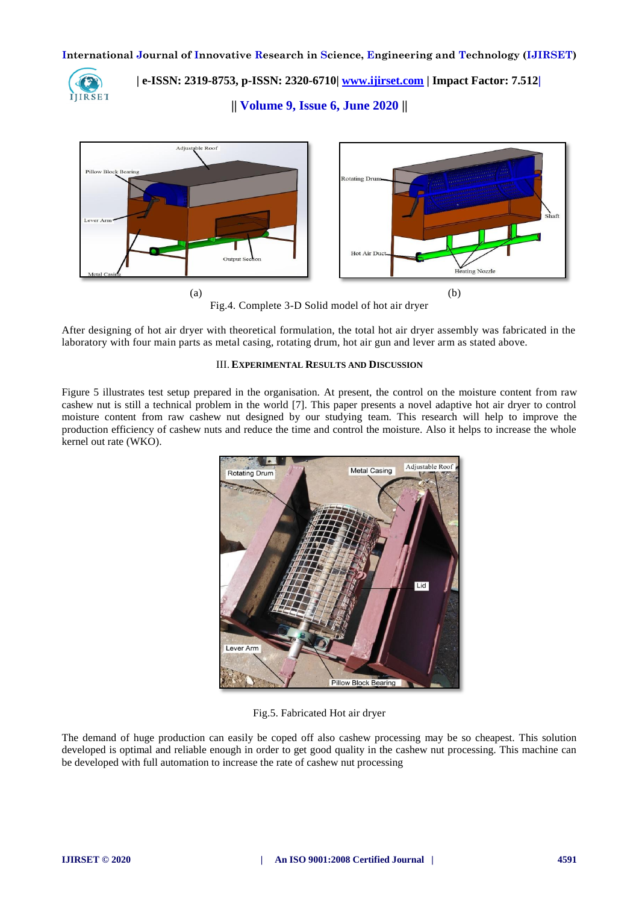

 **| e-ISSN: 2319-8753, p-ISSN: 2320-6710| [www.ijirset.com](http://www.ijirset.com/) | Impact Factor: 7.512|**

**|| Volume 9, Issue 6, June 2020 ||** 



Fig.4. Complete 3-D Solid model of hot air dryer

After designing of hot air dryer with theoretical formulation, the total hot air dryer assembly was fabricated in the laboratory with four main parts as metal casing, rotating drum, hot air gun and lever arm as stated above.

# III. **EXPERIMENTAL RESULTS AND DISCUSSION**

Figure 5 illustrates test setup prepared in the organisation. At present, the control on the moisture content from raw cashew nut is still a technical problem in the world [7]. This paper presents a novel adaptive hot air dryer to control moisture content from raw cashew nut designed by our studying team. This research will help to improve the production efficiency of cashew nuts and reduce the time and control the moisture. Also it helps to increase the whole kernel out rate (WKO).



Fig.5. Fabricated Hot air dryer

The demand of huge production can easily be coped off also cashew processing may be so cheapest. This solution developed is optimal and reliable enough in order to get good quality in the cashew nut processing. This machine can be developed with full automation to increase the rate of cashew nut processing